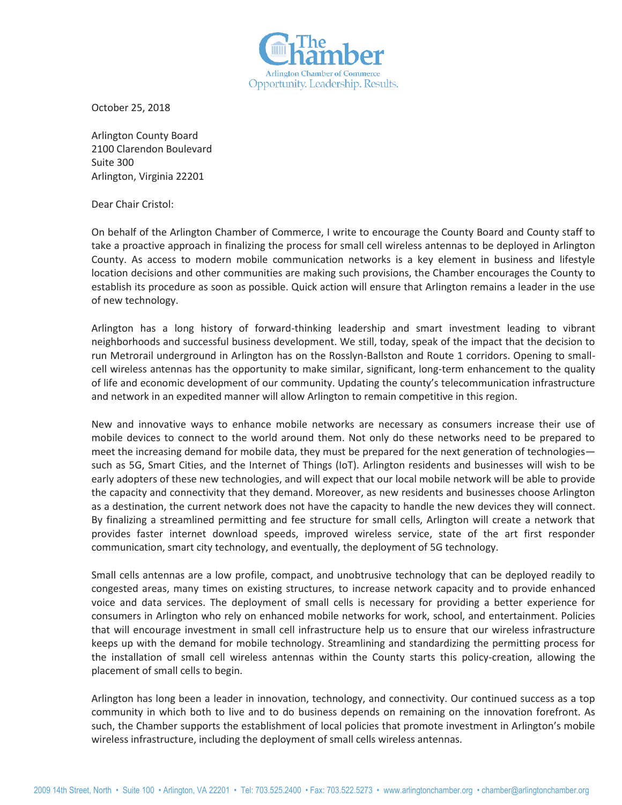

October 25, 2018

Arlington County Board 2100 Clarendon Boulevard Suite 300 Arlington, Virginia 22201

Dear Chair Cristol:

On behalf of the Arlington Chamber of Commerce, I write to encourage the County Board and County staff to take a proactive approach in finalizing the process for small cell wireless antennas to be deployed in Arlington County. As access to modern mobile communication networks is a key element in business and lifestyle location decisions and other communities are making such provisions, the Chamber encourages the County to establish its procedure as soon as possible. Quick action will ensure that Arlington remains a leader in the use of new technology.

Arlington has a long history of forward-thinking leadership and smart investment leading to vibrant neighborhoods and successful business development. We still, today, speak of the impact that the decision to run Metrorail underground in Arlington has on the Rosslyn-Ballston and Route 1 corridors. Opening to smallcell wireless antennas has the opportunity to make similar, significant, long-term enhancement to the quality of life and economic development of our community. Updating the county's telecommunication infrastructure and network in an expedited manner will allow Arlington to remain competitive in this region.

New and innovative ways to enhance mobile networks are necessary as consumers increase their use of mobile devices to connect to the world around them. Not only do these networks need to be prepared to meet the increasing demand for mobile data, they must be prepared for the next generation of technologies such as 5G, Smart Cities, and the Internet of Things (IoT). Arlington residents and businesses will wish to be early adopters of these new technologies, and will expect that our local mobile network will be able to provide the capacity and connectivity that they demand. Moreover, as new residents and businesses choose Arlington as a destination, the current network does not have the capacity to handle the new devices they will connect. By finalizing a streamlined permitting and fee structure for small cells, Arlington will create a network that provides faster internet download speeds, improved wireless service, state of the art first responder communication, smart city technology, and eventually, the deployment of 5G technology.

Small cells antennas are a low profile, compact, and unobtrusive technology that can be deployed readily to congested areas, many times on existing structures, to increase network capacity and to provide enhanced voice and data services. The deployment of small cells is necessary for providing a better experience for consumers in Arlington who rely on enhanced mobile networks for work, school, and entertainment. Policies that will encourage investment in small cell infrastructure help us to ensure that our wireless infrastructure keeps up with the demand for mobile technology. Streamlining and standardizing the permitting process for the installation of small cell wireless antennas within the County starts this policy-creation, allowing the placement of small cells to begin.

Arlington has long been a leader in innovation, technology, and connectivity. Our continued success as a top community in which both to live and to do business depends on remaining on the innovation forefront. As such, the Chamber supports the establishment of local policies that promote investment in Arlington's mobile wireless infrastructure, including the deployment of small cells wireless antennas.